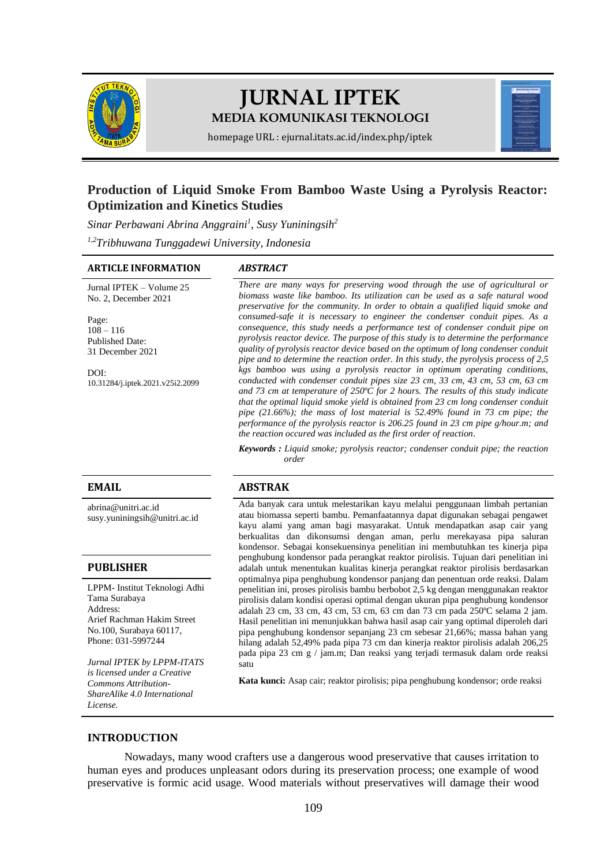

# **JURNAL IPTEK MEDIA KOMUNIKASI TEKNOLOGI**



homepage URL : ejurnal.itats.ac.id/index.php/iptek

# **Production of Liquid Smoke From Bamboo Waste Using a Pyrolysis Reactor: Optimization and Kinetics Studies**

*Sinar Perbawani Abrina Anggraini<sup>1</sup> , Susy Yuniningsih<sup>2</sup>*

*1,2Tribhuwana Tunggadewi University, Indonesia*

#### **ARTICLE INFORMATION** *ABSTRACT*

Jurnal IPTEK – Volume 25 No. 2, December 2021

Page:  $108 - 116$ Published Date: 31 December 2021

DOI: [10.31284/j.iptek.2021.v25i2.2099](https://doi.org/10.31284/j.iptek.2021.v25i2.2099)

[abrina@unitri.ac.id](mailto:abrina@unitri.ac.id) [susy.yuniningsih@unitri.ac.id](mailto:susy.yuniningsih@unitri.ac.id)

#### **PUBLISHER**

LPPM- Institut Teknologi Adhi Tama Surabaya Address: Arief Rachman Hakim Street No.100, Surabaya 60117, Phone: 031-5997244

*Jurnal IPTEK by LPPM-ITATS is licensed under a Creative Commons Attribution-ShareAlike 4.0 International License.*

*There are many ways for preserving wood through the use of agricultural or biomass waste like bamboo. Its utilization can be used as a safe natural wood preservative for the community. In order to obtain a qualified liquid smoke and consumed-safe it is necessary to engineer the condenser conduit pipes. As a consequence, this study needs a performance test of condenser conduit pipe on pyrolysis reactor device. The purpose of this study is to determine the performance quality of pyrolysis reactor device based on the optimum of long condenser conduit pipe and to determine the reaction order. In this study, the pyrolysis process of 2,5 kgs bamboo was using a pyrolysis reactor in optimum operating conditions, conducted with condenser conduit pipes size 23 cm, 33 cm, 43 cm, 53 cm, 63 cm and 73 cm at temperature of 250ºC for 2 hours. The results of this study indicate that the optimal liquid smoke yield is obtained from 23 cm long condenser conduit pipe (21.66%); the mass of lost material is 52.49% found in 73 cm pipe; the performance of the pyrolysis reactor is 206.25 found in 23 cm pipe g/hour.m; and the reaction occured was included as the first order of reaction*.

*Keywords : Liquid smoke; pyrolysis reactor; condenser conduit pipe; the reaction order*

# **EMAIL ABSTRAK**

Ada banyak cara untuk melestarikan kayu melalui penggunaan limbah pertanian atau biomassa seperti bambu. Pemanfaatannya dapat digunakan sebagai pengawet kayu alami yang aman bagi masyarakat. Untuk mendapatkan asap cair yang berkualitas dan dikonsumsi dengan aman, perlu merekayasa pipa saluran kondensor. Sebagai konsekuensinya penelitian ini membutuhkan tes kinerja pipa penghubung kondensor pada perangkat reaktor pirolisis. Tujuan dari penelitian ini adalah untuk menentukan kualitas kinerja perangkat reaktor pirolisis berdasarkan optimalnya pipa penghubung kondensor panjang dan penentuan orde reaksi. Dalam penelitian ini, proses pirolisis bambu berbobot 2,5 kg dengan menggunakan reaktor pirolisis dalam kondisi operasi optimal dengan ukuran pipa penghubung kondensor adalah 23 cm, 33 cm, 43 cm, 53 cm, 63 cm dan 73 cm pada 250ºC selama 2 jam. Hasil penelitian ini menunjukkan bahwa hasil asap cair yang optimal diperoleh dari pipa penghubung kondensor sepanjang 23 cm sebesar 21,66%; massa bahan yang hilang adalah 52,49% pada pipa 73 cm dan kinerja reaktor pirolisis adalah 206,25 pada pipa 23 cm g / jam.m; Dan reaksi yang terjadi termasuk dalam orde reaksi satu

**Kata kunci:** Asap cair; reaktor pirolisis; pipa penghubung kondensor; orde reaksi

# **INTRODUCTION**

Nowadays, many wood crafters use a dangerous wood preservative that causes irritation to human eyes and produces unpleasant odors during its preservation process; one example of wood preservative is formic acid usage. Wood materials without preservatives will damage their wood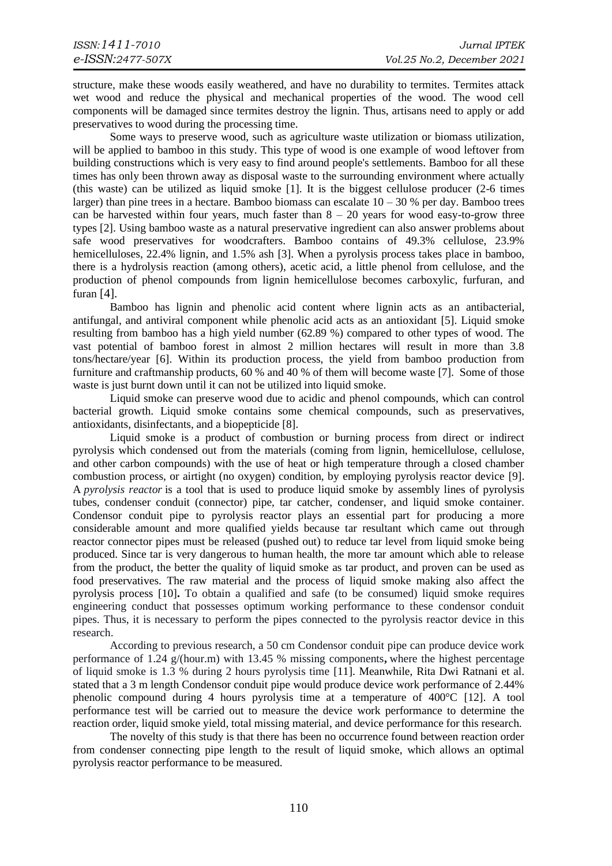structure, make these woods easily weathered, and have no durability to termites. Termites attack wet wood and reduce the physical and mechanical properties of the wood. The wood cell components will be damaged since termites destroy the lignin. Thus, artisans need to apply or add preservatives to wood during the processing time.

Some ways to preserve wood, such as agriculture waste utilization or biomass utilization, will be applied to bamboo in this study. This type of wood is one example of wood leftover from building constructions which is very easy to find around people's settlements. Bamboo for all these times has only been thrown away as disposal waste to the surrounding environment where actually (this waste) can be utilized as liquid smoke [1]. It is the biggest cellulose producer (2-6 times larger) than pine trees in a hectare. Bamboo biomass can escalate  $10 - 30$  % per day. Bamboo trees can be harvested within four years, much faster than  $8 - 20$  years for wood easy-to-grow three types [2]. Using bamboo waste as a natural preservative ingredient can also answer problems about safe wood preservatives for woodcrafters. Bamboo contains of 49.3% cellulose, 23.9% hemicelluloses, 22.4% lignin, and 1.5% ash [3]. When a pyrolysis process takes place in bamboo, there is a hydrolysis reaction (among others), acetic acid, a little phenol from cellulose, and the production of phenol compounds from lignin hemicellulose becomes carboxylic, furfuran, and furan [4].

Bamboo has lignin and phenolic acid content where lignin acts as an antibacterial, antifungal, and antiviral component while phenolic acid acts as an antioxidant [5]. Liquid smoke resulting from bamboo has a high yield number (62.89 %) compared to other types of wood. The vast potential of bamboo forest in almost 2 million hectares will result in more than 3.8 tons/hectare/year [6]. Within its production process, the yield from bamboo production from furniture and craftmanship products, 60 % and 40 % of them will become waste [7]. Some of those waste is just burnt down until it can not be utilized into liquid smoke.

Liquid smoke can preserve wood due to acidic and phenol compounds, which can control bacterial growth. Liquid smoke contains some chemical compounds, such as preservatives, antioxidants, disinfectants, and a biopepticide [8].

Liquid smoke is a product of combustion or burning process from direct or indirect pyrolysis which condensed out from the materials (coming from lignin, hemicellulose, cellulose, and other carbon compounds) with the use of heat or high temperature through a closed chamber combustion process, or airtight (no oxygen) condition, by employing pyrolysis reactor device [9]. A *pyrolysis reactor* is a tool that is used to produce liquid smoke by assembly lines of pyrolysis tubes, condenser conduit (connector) pipe, tar catcher, condenser, and liquid smoke container. Condensor conduit pipe to pyrolysis reactor plays an essential part for producing a more considerable amount and more qualified yields because tar resultant which came out through reactor connector pipes must be released (pushed out) to reduce tar level from liquid smoke being produced. Since tar is very dangerous to human health, the more tar amount which able to release from the product, the better the quality of liquid smoke as tar product, and proven can be used as food preservatives. The raw material and the process of liquid smoke making also affect the pyrolysis process [10]**.** To obtain a qualified and safe (to be consumed) liquid smoke requires engineering conduct that possesses optimum working performance to these condensor conduit pipes. Thus, it is necessary to perform the pipes connected to the pyrolysis reactor device in this research.

According to previous research, a 50 cm Condensor conduit pipe can produce device work performance of 1.24 g/(hour.m) with 13.45 % missing components**,** where the highest percentage of liquid smoke is 1.3 % during 2 hours pyrolysis time [11]. Meanwhile, Rita Dwi Ratnani et al. stated that a 3 m length Condensor conduit pipe would produce device work performance of 2.44% phenolic compound during 4 hours pyrolysis time at a temperature of 400°C [12]. A tool performance test will be carried out to measure the device work performance to determine the reaction order, liquid smoke yield, total missing material, and device performance for this research.

The novelty of this study is that there has been no occurrence found between reaction order from condenser connecting pipe length to the result of liquid smoke, which allows an optimal pyrolysis reactor performance to be measured.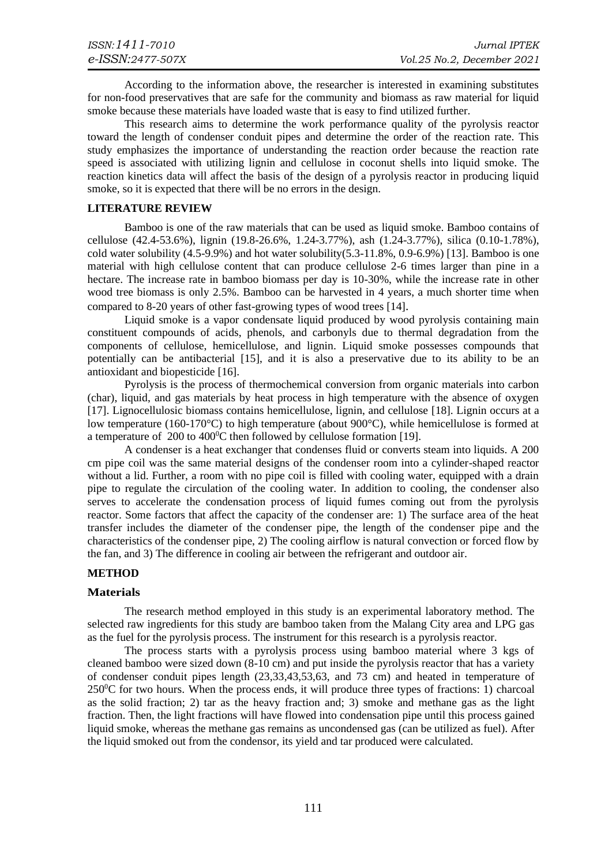According to the information above, the researcher is interested in examining substitutes for non-food preservatives that are safe for the community and biomass as raw material for liquid smoke because these materials have loaded waste that is easy to find utilized further.

This research aims to determine the work performance quality of the pyrolysis reactor toward the length of condenser conduit pipes and determine the order of the reaction rate. This study emphasizes the importance of understanding the reaction order because the reaction rate speed is associated with utilizing lignin and cellulose in coconut shells into liquid smoke. The reaction kinetics data will affect the basis of the design of a pyrolysis reactor in producing liquid smoke, so it is expected that there will be no errors in the design.

#### **LITERATURE REVIEW**

Bamboo is one of the raw materials that can be used as liquid smoke. Bamboo contains of cellulose (42.4-53.6%), lignin (19.8-26.6%, 1.24-3.77%), ash (1.24-3.77%), silica (0.10-1.78%), cold water solubility  $(4.5-9.9\%)$  and hot water solubility $(5.3-11.8\%, 0.9-6.9\%)$  [13]. Bamboo is one material with high cellulose content that can produce cellulose 2-6 times larger than pine in a hectare. The increase rate in bamboo biomass per day is 10-30%, while the increase rate in other wood tree biomass is only 2.5%. Bamboo can be harvested in 4 years, a much shorter time when compared to 8-20 years of other fast-growing types of wood trees [14].

Liquid smoke is a vapor condensate liquid produced by wood pyrolysis containing main constituent compounds of acids, phenols, and carbonyls due to thermal degradation from the components of cellulose, hemicellulose, and lignin. Liquid smoke possesses compounds that potentially can be antibacterial [15], and it is also a preservative due to its ability to be an antioxidant and biopesticide [16].

Pyrolysis is the process of thermochemical conversion from organic materials into carbon (char), liquid, and gas materials by heat process in high temperature with the absence of oxygen [17]. Lignocellulosic biomass contains hemicellulose, lignin, and cellulose [18]. Lignin occurs at a low temperature (160-170°C) to high temperature (about 900°C), while hemicellulose is formed at a temperature of  $200$  to  $400^{\circ}$ C then followed by cellulose formation [19].

A condenser is a heat exchanger that condenses fluid or converts steam into liquids. A 200 cm pipe coil was the same material designs of the condenser room into a cylinder-shaped reactor without a lid. Further, a room with no pipe coil is filled with cooling water, equipped with a drain pipe to regulate the circulation of the cooling water. In addition to cooling, the condenser also serves to accelerate the condensation process of liquid fumes coming out from the pyrolysis reactor. Some factors that affect the capacity of the condenser are: 1) The surface area of the heat transfer includes the diameter of the condenser pipe, the length of the condenser pipe and the characteristics of the condenser pipe, 2) The cooling airflow is natural convection or forced flow by the fan, and 3) The difference in cooling air between the refrigerant and outdoor air.

# **METHOD**

# **Materials**

The research method employed in this study is an experimental laboratory method. The selected raw ingredients for this study are bamboo taken from the Malang City area and LPG gas as the fuel for the pyrolysis process. The instrument for this research is a pyrolysis reactor.

The process starts with a pyrolysis process using bamboo material where 3 kgs of cleaned bamboo were sized down (8-10 cm) and put inside the pyrolysis reactor that has a variety of condenser conduit pipes length (23,33,43,53,63, and 73 cm) and heated in temperature of  $250\textdegree$ C for two hours. When the process ends, it will produce three types of fractions: 1) charcoal as the solid fraction; 2) tar as the heavy fraction and; 3) smoke and methane gas as the light fraction. Then, the light fractions will have flowed into condensation pipe until this process gained liquid smoke, whereas the methane gas remains as uncondensed gas (can be utilized as fuel). After the liquid smoked out from the condensor, its yield and tar produced were calculated.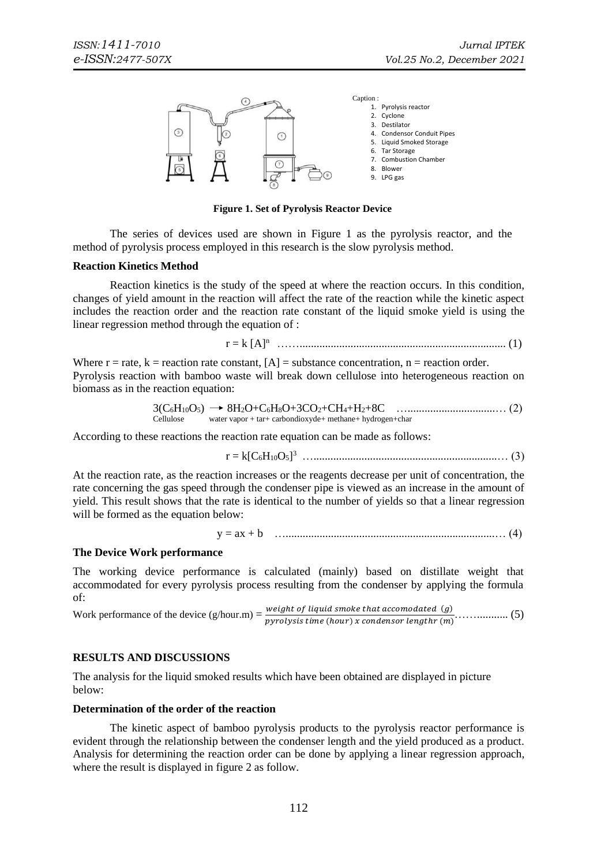

**Figure 1. Set of Pyrolysis Reactor Device**

The series of devices used are shown in Figure 1 as the pyrolysis reactor, and the method of pyrolysis process employed in this research is the slow pyrolysis method.

#### **Reaction Kinetics Method**

Reaction kinetics is the study of the speed at where the reaction occurs. In this condition, changes of yield amount in the reaction will affect the rate of the reaction while the kinetic aspect includes the reaction order and the reaction rate constant of the liquid smoke yield is using the linear regression method through the equation of :

$$
r = k [A]^n
$$
 .......  
...........  
...........  
...........  
...........  
...........  
...  
...........  
(1)

Where  $r = rate$ ,  $k = reaction rate constant$ ,  $[A] = substance concentration$ ,  $n = reaction order$ . Pyrolysis reaction with bamboo waste will break down cellulose into heterogeneous reaction on biomass as in the reaction equation:

$$
3(C_6H_{10}O_5) \rightarrow 8H_2O+C_6H_8O+3CO_2+CH_4+H_2+8C
$$
................. (2)  
Cellulose water vapor + tar+ carbondioxyde+ methane+ hydrogen+char

According to these reactions the reaction rate equation can be made as follows:

$$
r = k[C_6H_{10}O_5]^3
$$

At the reaction rate, as the reaction increases or the reagents decrease per unit of concentration, the rate concerning the gas speed through the condenser pipe is viewed as an increase in the amount of yield. This result shows that the rate is identical to the number of yields so that a linear regression will be formed as the equation below:

$$
y = ax + b
$$
 (4)

#### **The Device Work performance**

The working device performance is calculated (mainly) based on distillate weight that accommodated for every pyrolysis process resulting from the condenser by applying the formula of:

Work performance of the device (g/hour.m) = ℎ ℎ () (ℎ) ℎ ()……........... (5)

# **RESULTS AND DISCUSSIONS**

The analysis for the liquid smoked results which have been obtained are displayed in picture below:

#### **Determination of the order of the reaction**

The kinetic aspect of bamboo pyrolysis products to the pyrolysis reactor performance is evident through the relationship between the condenser length and the yield produced as a product. Analysis for determining the reaction order can be done by applying a linear regression approach, where the result is displayed in figure 2 as follow.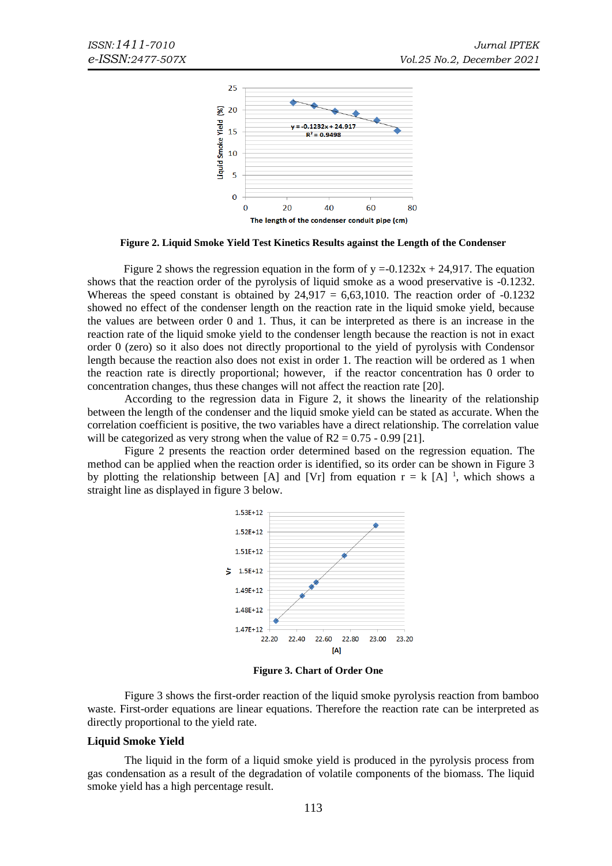

**Figure 2. Liquid Smoke Yield Test Kinetics Results against the Length of the Condenser**

Figure 2 shows the regression equation in the form of  $y = -0.1232x + 24.917$ . The equation shows that the reaction order of the pyrolysis of liquid smoke as a wood preservative is -0.1232. Whereas the speed constant is obtained by  $24.917 = 6,63,1010$ . The reaction order of  $-0.1232$ showed no effect of the condenser length on the reaction rate in the liquid smoke yield, because the values are between order 0 and 1. Thus, it can be interpreted as there is an increase in the reaction rate of the liquid smoke yield to the condenser length because the reaction is not in exact order 0 (zero) so it also does not directly proportional to the yield of pyrolysis with Condensor length because the reaction also does not exist in order 1. The reaction will be ordered as 1 when the reaction rate is directly proportional; however, if the reactor concentration has 0 order to concentration changes, thus these changes will not affect the reaction rate [20].

According to the regression data in Figure 2, it shows the linearity of the relationship between the length of the condenser and the liquid smoke yield can be stated as accurate. When the correlation coefficient is positive, the two variables have a direct relationship. The correlation value will be categorized as very strong when the value of  $R2 = 0.75 - 0.99$  [21].

Figure 2 presents the reaction order determined based on the regression equation. The method can be applied when the reaction order is identified, so its order can be shown in Figure 3 by plotting the relationship between [A] and [Vr] from equation  $r = k$  [A] <sup>1</sup>, which shows a straight line as displayed in figure 3 below.



**Figure 3. Chart of Order One**

Figure 3 shows the first-order reaction of the liquid smoke pyrolysis reaction from bamboo waste. First-order equations are linear equations. Therefore the reaction rate can be interpreted as directly proportional to the yield rate.

#### **Liquid Smoke Yield**

The liquid in the form of a liquid smoke yield is produced in the pyrolysis process from gas condensation as a result of the degradation of volatile components of the biomass. The liquid smoke yield has a high percentage result.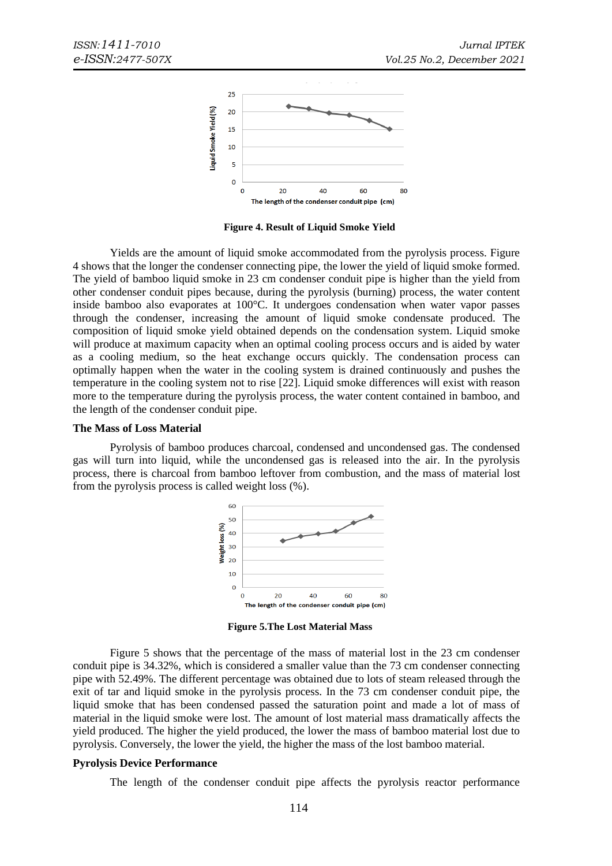

**Figure 4. Result of Liquid Smoke Yield**

Yields are the amount of liquid smoke accommodated from the pyrolysis process. Figure 4 shows that the longer the condenser connecting pipe, the lower the yield of liquid smoke formed. The yield of bamboo liquid smoke in 23 cm condenser conduit pipe is higher than the yield from other condenser conduit pipes because, during the pyrolysis (burning) process, the water content inside bamboo also evaporates at 100°C. It undergoes condensation when water vapor passes through the condenser, increasing the amount of liquid smoke condensate produced. The composition of liquid smoke yield obtained depends on the condensation system. Liquid smoke will produce at maximum capacity when an optimal cooling process occurs and is aided by water as a cooling medium, so the heat exchange occurs quickly. The condensation process can optimally happen when the water in the cooling system is drained continuously and pushes the temperature in the cooling system not to rise [22]. Liquid smoke differences will exist with reason more to the temperature during the pyrolysis process, the water content contained in bamboo, and the length of the condenser conduit pipe.

#### **The Mass of Loss Material**

Pyrolysis of bamboo produces charcoal, condensed and uncondensed gas. The condensed gas will turn into liquid, while the uncondensed gas is released into the air. In the pyrolysis process, there is charcoal from bamboo leftover from combustion, and the mass of material lost from the pyrolysis process is called weight loss (%).



**Figure 5.The Lost Material Mass**

Figure 5 shows that the percentage of the mass of material lost in the 23 cm condenser conduit pipe is 34.32%, which is considered a smaller value than the 73 cm condenser connecting pipe with 52.49%. The different percentage was obtained due to lots of steam released through the exit of tar and liquid smoke in the pyrolysis process. In the 73 cm condenser conduit pipe, the liquid smoke that has been condensed passed the saturation point and made a lot of mass of material in the liquid smoke were lost. The amount of lost material mass dramatically affects the yield produced. The higher the yield produced, the lower the mass of bamboo material lost due to pyrolysis. Conversely, the lower the yield, the higher the mass of the lost bamboo material.

#### **Pyrolysis Device Performance**

The length of the condenser conduit pipe affects the pyrolysis reactor performance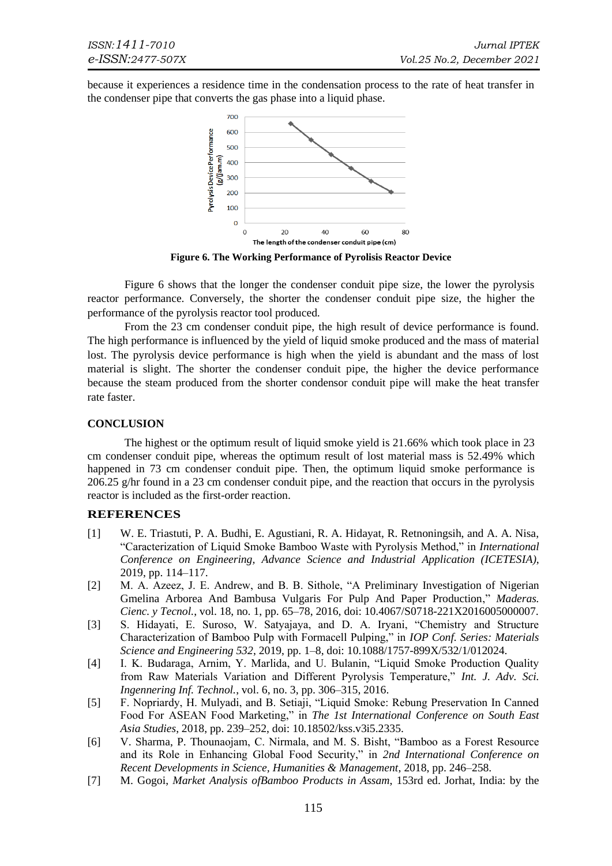because it experiences a residence time in the condensation process to the rate of heat transfer in the condenser pipe that converts the gas phase into a liquid phase.



**Figure 6. The Working Performance of Pyrolisis Reactor Device**

Figure 6 shows that the longer the condenser conduit pipe size, the lower the pyrolysis reactor performance. Conversely, the shorter the condenser conduit pipe size, the higher the performance of the pyrolysis reactor tool produced.

From the 23 cm condenser conduit pipe, the high result of device performance is found. The high performance is influenced by the yield of liquid smoke produced and the mass of material lost. The pyrolysis device performance is high when the yield is abundant and the mass of lost material is slight. The shorter the condenser conduit pipe, the higher the device performance because the steam produced from the shorter condensor conduit pipe will make the heat transfer rate faster.

# **CONCLUSION**

The highest or the optimum result of liquid smoke yield is 21.66% which took place in 23 cm condenser conduit pipe, whereas the optimum result of lost material mass is 52.49% which happened in 73 cm condenser conduit pipe. Then, the optimum liquid smoke performance is 206.25 g/hr found in a 23 cm condenser conduit pipe, and the reaction that occurs in the pyrolysis reactor is included as the first-order reaction.

# **REFERENCES**

- [1] W. E. Triastuti, P. A. Budhi, E. Agustiani, R. A. Hidayat, R. Retnoningsih, and A. A. Nisa, "Caracterization of Liquid Smoke Bamboo Waste with Pyrolysis Method," in *International Conference on Engineering, Advance Science and Industrial Application (ICETESIA)*, 2019, pp. 114–117.
- [2] M. A. Azeez, J. E. Andrew, and B. B. Sithole, "A Preliminary Investigation of Nigerian Gmelina Arborea And Bambusa Vulgaris For Pulp And Paper Production," *Maderas. Cienc. y Tecnol.*, vol. 18, no. 1, pp. 65–78, 2016, doi: 10.4067/S0718-221X2016005000007.
- [3] S. Hidayati, E. Suroso, W. Satyajaya, and D. A. Iryani, "Chemistry and Structure Characterization of Bamboo Pulp with Formacell Pulping," in *IOP Conf. Series: Materials Science and Engineering 532*, 2019, pp. 1–8, doi: 10.1088/1757-899X/532/1/012024.
- [4] I. K. Budaraga, Arnim, Y. Marlida, and U. Bulanin, "Liquid Smoke Production Quality from Raw Materials Variation and Different Pyrolysis Temperature," *Int. J. Adv. Sci. Ingennering Inf. Technol.*, vol. 6, no. 3, pp. 306–315, 2016.
- [5] F. Nopriardy, H. Mulyadi, and B. Setiaji, "Liquid Smoke: Rebung Preservation In Canned Food For ASEAN Food Marketing," in *The 1st International Conference on South East Asia Studies*, 2018, pp. 239–252, doi: 10.18502/kss.v3i5.2335.
- [6] V. Sharma, P. Thounaojam, C. Nirmala, and M. S. Bisht, "Bamboo as a Forest Resource and its Role in Enhancing Global Food Security," in *2nd International Conference on Recent Developments in Science, Humanities & Management*, 2018, pp. 246–258.
- [7] M. Gogoi, *Market Analysis ofBamboo Products in Assam*, 153rd ed. Jorhat, India: by the